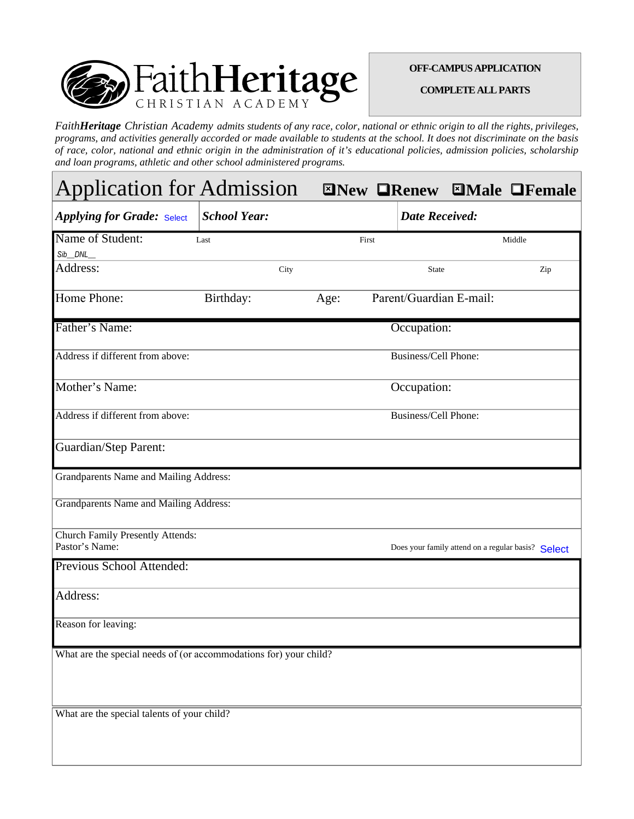

## **OFF-CAMPUS APPLICATION**

**COMPLETE ALL PARTS** 

*FaithHeritage Christian Academy admits students of any race, color, national or ethnic origin to all the rights, privileges, programs, and activities generally accorded or made available to students at the school. It does not discriminate on the basis of race, color, national and ethnic origin in the administration of it's educational policies, admission policies, scholarship and loan programs, athletic and other school administered programs.* 

| <b>Application for Admission</b>                                  |                     |       |                             |                         | <b>ENEW OREAGE MAIL OF PERIOR</b>                  |
|-------------------------------------------------------------------|---------------------|-------|-----------------------------|-------------------------|----------------------------------------------------|
| <b>Applying for Grade: Select</b>                                 | <b>School Year:</b> |       | <b>Date Received:</b>       |                         |                                                    |
| Name of Student:                                                  | Last                | First |                             |                         | Middle                                             |
| Sib_DNL_                                                          |                     |       |                             |                         |                                                    |
| Address:                                                          | City                |       | <b>State</b>                |                         | Zip                                                |
| Home Phone:                                                       | Birthday:           | Age:  |                             | Parent/Guardian E-mail: |                                                    |
| Father's Name:                                                    |                     |       | Occupation:                 |                         |                                                    |
| Address if different from above:                                  |                     |       | <b>Business/Cell Phone:</b> |                         |                                                    |
| Mother's Name:                                                    |                     |       | Occupation:                 |                         |                                                    |
| Address if different from above:                                  |                     |       | Business/Cell Phone:        |                         |                                                    |
| <b>Guardian/Step Parent:</b>                                      |                     |       |                             |                         |                                                    |
| Grandparents Name and Mailing Address:                            |                     |       |                             |                         |                                                    |
| <b>Grandparents Name and Mailing Address:</b>                     |                     |       |                             |                         |                                                    |
| <b>Church Family Presently Attends:</b>                           |                     |       |                             |                         |                                                    |
| Pastor's Name:                                                    |                     |       |                             |                         | Does your family attend on a regular basis? Select |
| Previous School Attended:                                         |                     |       |                             |                         |                                                    |
| Address:                                                          |                     |       |                             |                         |                                                    |
| Reason for leaving:                                               |                     |       |                             |                         |                                                    |
| What are the special needs of (or accommodations for) your child? |                     |       |                             |                         |                                                    |
|                                                                   |                     |       |                             |                         |                                                    |
| What are the special talents of your child?                       |                     |       |                             |                         |                                                    |
|                                                                   |                     |       |                             |                         |                                                    |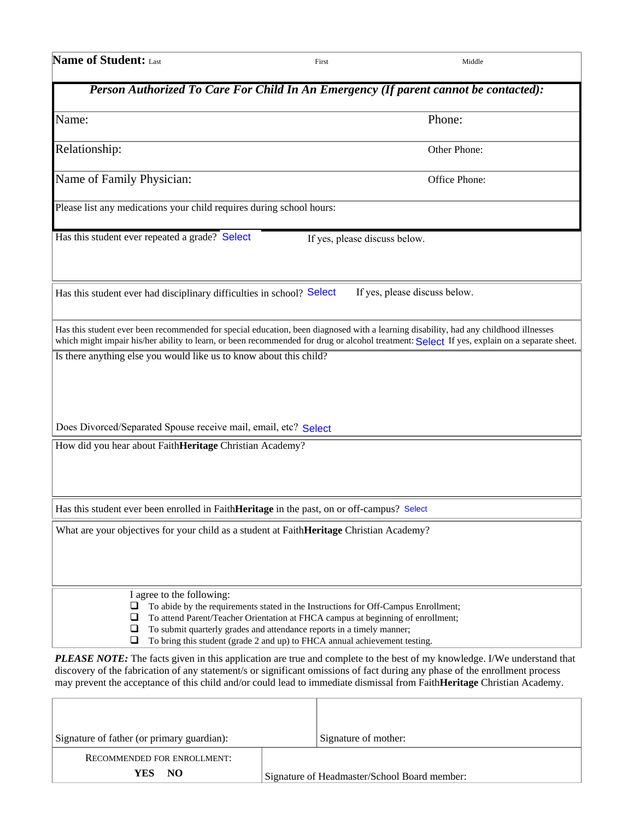| <b>Name of Student: Last</b>                                                               | First | Middle                                                                                                                                                                                                                                                                              |
|--------------------------------------------------------------------------------------------|-------|-------------------------------------------------------------------------------------------------------------------------------------------------------------------------------------------------------------------------------------------------------------------------------------|
|                                                                                            |       | Person Authorized To Care For Child In An Emergency (If parent cannot be contacted):                                                                                                                                                                                                |
| Name:                                                                                      |       | Phone:                                                                                                                                                                                                                                                                              |
| Relationship:                                                                              |       | Other Phone:                                                                                                                                                                                                                                                                        |
| Name of Family Physician:                                                                  |       | Office Phone:                                                                                                                                                                                                                                                                       |
| Please list any medications your child requires during school hours:                       |       |                                                                                                                                                                                                                                                                                     |
| Has this student ever repeated a grade? Select                                             |       | If yes, please discuss below.                                                                                                                                                                                                                                                       |
| Has this student ever had disciplinary difficulties in school? Select                      |       | If yes, please discuss below.                                                                                                                                                                                                                                                       |
|                                                                                            |       | Has this student ever been recommended for special education, been diagnosed with a learning disability, had any childhood illnesses<br>which might impair his/her ability to learn, or been recommended for drug or alcohol treatment: Select If yes, explain on a separate sheet. |
| Is there anything else you would like us to know about this child?                         |       |                                                                                                                                                                                                                                                                                     |
|                                                                                            |       |                                                                                                                                                                                                                                                                                     |
| Does Divorced/Separated Spouse receive mail, email, etc? Select                            |       |                                                                                                                                                                                                                                                                                     |
| How did you hear about FaithHeritage Christian Academy?                                    |       |                                                                                                                                                                                                                                                                                     |
|                                                                                            |       |                                                                                                                                                                                                                                                                                     |
| Has this student ever been enrolled in FaithHeritage in the past, on or off-campus? Select |       |                                                                                                                                                                                                                                                                                     |
| What are your objectives for your child as a student at FaithHeritage Christian Academy?   |       |                                                                                                                                                                                                                                                                                     |
|                                                                                            |       |                                                                                                                                                                                                                                                                                     |
|                                                                                            |       |                                                                                                                                                                                                                                                                                     |

I agree to the following:

To abide by the requirements stated in the Instructions for Off-Campus Enrollment;

To attend Parent/Teacher Orientation at FHCA campus at beginning of enrollment;

 $\Box$  To submit quarterly grades and attendance reports in a timely manner;  $\Box$  To bring this student (grade 2 and up) to FHCA annual achievement te

To bring this student (grade 2 and up) to FHCA annual achievement testing.

*PLEASE NOTE:* The facts given in this application are true and complete to the best of my knowledge. I/We understand that discovery of the fabrication of any statement/s or significant omissions of fact during any phase of the enrollment process may prevent the acceptance of this child and/or could lead to immediate dismissal from Faith**Heritage** Christian Academy.

| Signature of father (or primary guardian): |                                              | Signature of mother: |
|--------------------------------------------|----------------------------------------------|----------------------|
| <b>RECOMMENDED FOR ENROLLMENT:</b>         |                                              |                      |
| N <sub>O</sub><br>YES.                     | Signature of Headmaster/School Board member: |                      |